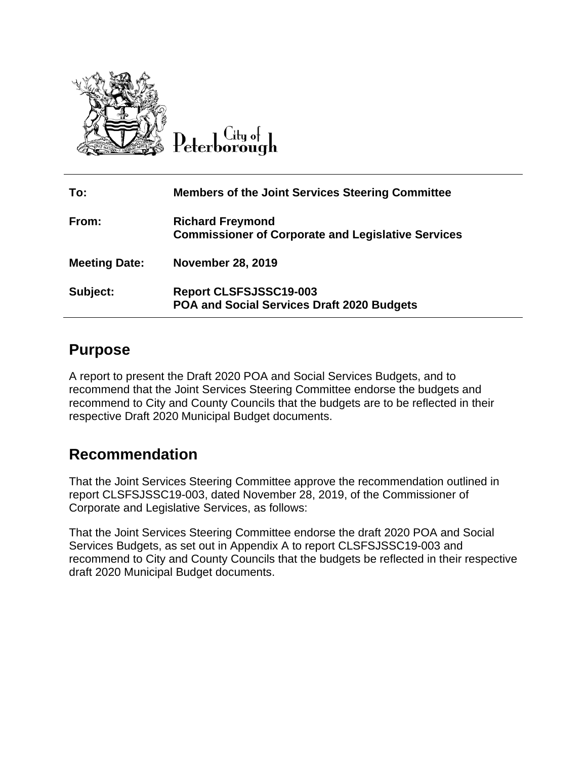

City of Peterborough

| To:                  | <b>Members of the Joint Services Steering Committee</b>                              |
|----------------------|--------------------------------------------------------------------------------------|
| From:                | <b>Richard Freymond</b><br><b>Commissioner of Corporate and Legislative Services</b> |
| <b>Meeting Date:</b> | <b>November 28, 2019</b>                                                             |
| Subject:             | <b>Report CLSFSJSSC19-003</b><br>POA and Social Services Draft 2020 Budgets          |

### **Purpose**

A report to present the Draft 2020 POA and Social Services Budgets, and to recommend that the Joint Services Steering Committee endorse the budgets and recommend to City and County Councils that the budgets are to be reflected in their respective Draft 2020 Municipal Budget documents.

### **Recommendation**

That the Joint Services Steering Committee approve the recommendation outlined in report CLSFSJSSC19-003, dated November 28, 2019, of the Commissioner of Corporate and Legislative Services, as follows:

That the Joint Services Steering Committee endorse the draft 2020 POA and Social Services Budgets, as set out in Appendix A to report CLSFSJSSC19-003 and recommend to City and County Councils that the budgets be reflected in their respective draft 2020 Municipal Budget documents.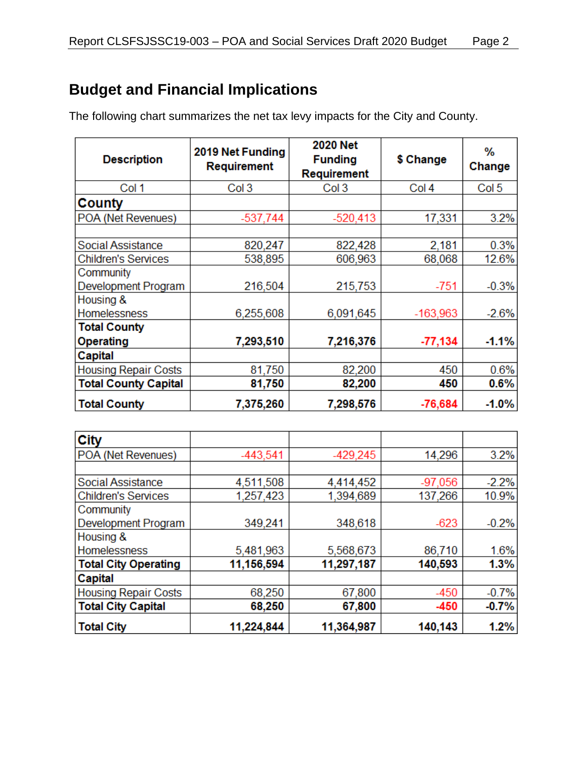## **Budget and Financial Implications**

The following chart summarizes the net tax levy impacts for the City and County.

| <b>Description</b>          | 2019 Net Funding<br>Requirement | <b>2020 Net</b><br><b>Funding</b><br>Requirement | \$ Change        | ℅<br>Change      |
|-----------------------------|---------------------------------|--------------------------------------------------|------------------|------------------|
| Col 1                       | Col <sub>3</sub>                | Col 3                                            | Col <sub>4</sub> | Col <sub>5</sub> |
| County                      |                                 |                                                  |                  |                  |
| POA (Net Revenues)          | $-537,744$                      | $-520,413$                                       | 17,331           | 3.2%             |
|                             |                                 |                                                  |                  |                  |
| Social Assistance           | 820,247                         | 822,428                                          | 2,181            | 0.3%             |
| <b>Children's Services</b>  | 538,895                         | 606,963                                          | 68,068           | 12.6%            |
| Community                   |                                 |                                                  |                  |                  |
| Development Program         | 216,504                         | 215,753                                          | $-751$           | $-0.3%$          |
| Housing &                   |                                 |                                                  |                  |                  |
| <b>Homelessness</b>         | 6,255,608                       | 6,091,645                                        | $-163,963$       | $-2.6%$          |
| <b>Total County</b>         |                                 |                                                  |                  |                  |
| Operating                   | 7,293,510                       | 7,216,376                                        | $-77,134$        | $-1.1%$          |
| Capital                     |                                 |                                                  |                  |                  |
| <b>Housing Repair Costs</b> | 81,750                          | 82,200                                           | 450              | 0.6%             |
| <b>Total County Capital</b> | 81,750                          | 82,200                                           | 450              | 0.6%             |
| <b>Total County</b>         | 7,375,260                       | 7,298,576                                        | $-76,684$        | $-1.0%$          |

| <b>City</b>                 |            |            |           |         |
|-----------------------------|------------|------------|-----------|---------|
| POA (Net Revenues)          | $-443,541$ | $-429,245$ | 14,296    | 3.2%    |
|                             |            |            |           |         |
| Social Assistance           | 4,511,508  | 4,414,452  | $-97,056$ | $-2.2%$ |
| <b>Children's Services</b>  | 1,257,423  | 1,394,689  | 137,266   | 10.9%   |
| Community                   |            |            |           |         |
| Development Program         | 349,241    | 348,618    | $-623$    | $-0.2%$ |
| Housing &                   |            |            |           |         |
| <b>Homelessness</b>         | 5,481,963  | 5,568,673  | 86,710    | 1.6%    |
| <b>Total City Operating</b> | 11,156,594 | 11,297,187 | 140,593   | 1.3%    |
| Capital                     |            |            |           |         |
| <b>Housing Repair Costs</b> | 68,250     | 67,800     | $-450$    | $-0.7%$ |
| <b>Total City Capital</b>   | 68,250     | 67,800     | -450      | $-0.7%$ |
| <b>Total City</b>           | 11,224,844 | 11,364,987 | 140,143   | 1.2%    |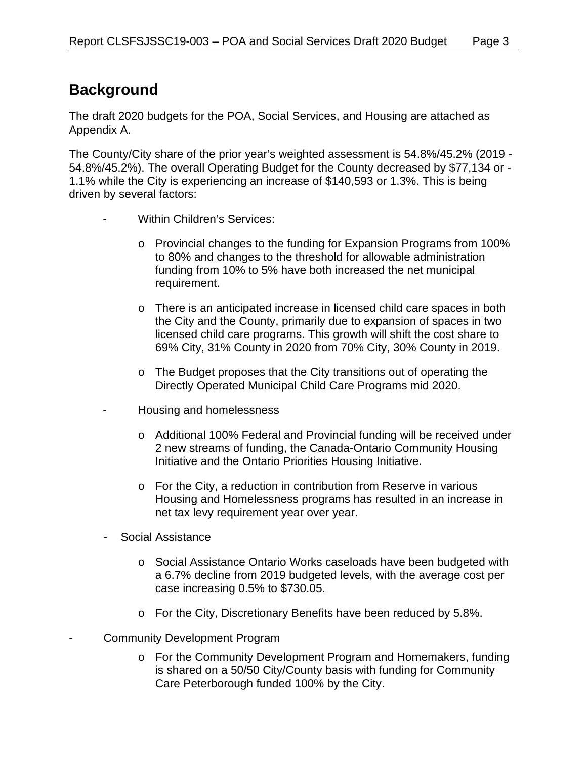## **Background**

The draft 2020 budgets for the POA, Social Services, and Housing are attached as Appendix A.

The County/City share of the prior year's weighted assessment is 54.8%/45.2% (2019 - 54.8%/45.2%). The overall Operating Budget for the County decreased by \$77,134 or - 1.1% while the City is experiencing an increase of \$140,593 or 1.3%. This is being driven by several factors:

- Within Children's Services:
	- o Provincial changes to the funding for Expansion Programs from 100% to 80% and changes to the threshold for allowable administration funding from 10% to 5% have both increased the net municipal requirement.
	- o There is an anticipated increase in licensed child care spaces in both the City and the County, primarily due to expansion of spaces in two licensed child care programs. This growth will shift the cost share to 69% City, 31% County in 2020 from 70% City, 30% County in 2019.
	- o The Budget proposes that the City transitions out of operating the Directly Operated Municipal Child Care Programs mid 2020.
- Housing and homelessness
	- o Additional 100% Federal and Provincial funding will be received under 2 new streams of funding, the Canada-Ontario Community Housing Initiative and the Ontario Priorities Housing Initiative.
	- o For the City, a reduction in contribution from Reserve in various Housing and Homelessness programs has resulted in an increase in net tax levy requirement year over year.
- Social Assistance
	- o Social Assistance Ontario Works caseloads have been budgeted with a 6.7% decline from 2019 budgeted levels, with the average cost per case increasing 0.5% to \$730.05.
	- o For the City, Discretionary Benefits have been reduced by 5.8%.
- Community Development Program
	- o For the Community Development Program and Homemakers, funding is shared on a 50/50 City/County basis with funding for Community Care Peterborough funded 100% by the City.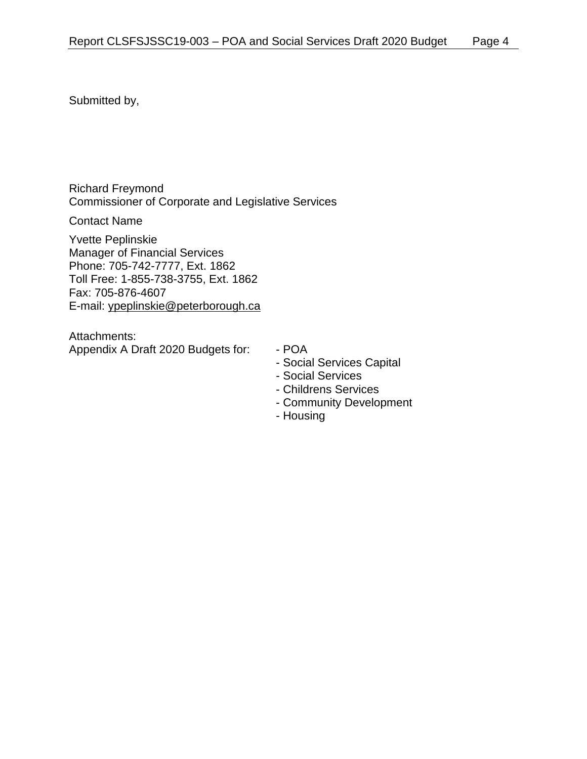Submitted by,

Richard Freymond Commissioner of Corporate and Legislative Services

Contact Name

Yvette Peplinskie Manager of Financial Services Phone: 705-742-7777, Ext. 1862 Toll Free: 1-855-738-3755, Ext. 1862 Fax: 705-876-4607 E-mail: ypeplinskie@peterborough.ca

Attachments: Appendix A Draft 2020 Budgets for: - POA

- 
- Social Services Capital
- Social Services
- Childrens Services
- Community Development
- Housing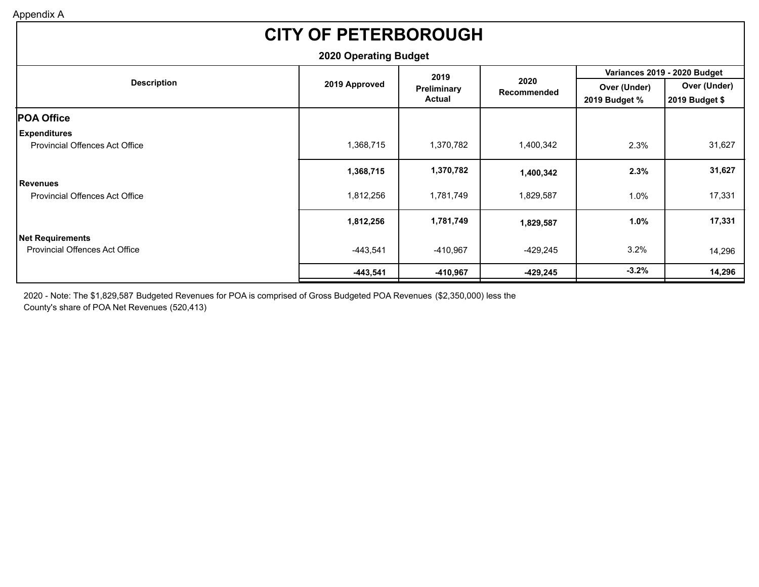# **CITY OF PETERBOROUGH**

| <b>2020 Operating Budget</b>          |               |               |                     |                              |                |  |  |
|---------------------------------------|---------------|---------------|---------------------|------------------------------|----------------|--|--|
|                                       |               | 2019          |                     | Variances 2019 - 2020 Budget |                |  |  |
| <b>Description</b>                    | 2019 Approved | Preliminary   | 2020<br>Recommended | Over (Under)                 | Over (Under)   |  |  |
|                                       |               | <b>Actual</b> |                     | 2019 Budget %                | 2019 Budget \$ |  |  |
| <b>POA Office</b>                     |               |               |                     |                              |                |  |  |
| <b>Expenditures</b>                   |               |               |                     |                              |                |  |  |
| <b>Provincial Offences Act Office</b> | 1,368,715     | 1,370,782     | 1,400,342           | 2.3%                         | 31,627         |  |  |
|                                       | 1,368,715     | 1,370,782     | 1,400,342           | 2.3%                         | 31,627         |  |  |
| <b>Revenues</b>                       |               |               |                     |                              |                |  |  |
| <b>Provincial Offences Act Office</b> | 1,812,256     | 1,781,749     | 1,829,587           | 1.0%                         | 17,331         |  |  |
|                                       | 1,812,256     | 1,781,749     | 1,829,587           | 1.0%                         | 17,331         |  |  |
| Net Requirements                      |               |               |                     |                              |                |  |  |
| <b>Provincial Offences Act Office</b> | $-443,541$    | $-410,967$    | -429,245            | 3.2%                         | 14,296         |  |  |
|                                       | $-443,541$    | -410,967      | $-429,245$          | $-3.2%$                      | 14,296         |  |  |
|                                       |               |               |                     |                              |                |  |  |

2020 - Note: The \$1,829,587 Budgeted Revenues for POA is comprised of Gross Budgeted POA Revenues (\$2,350,000) less the County's share of POA Net Revenues (520,413)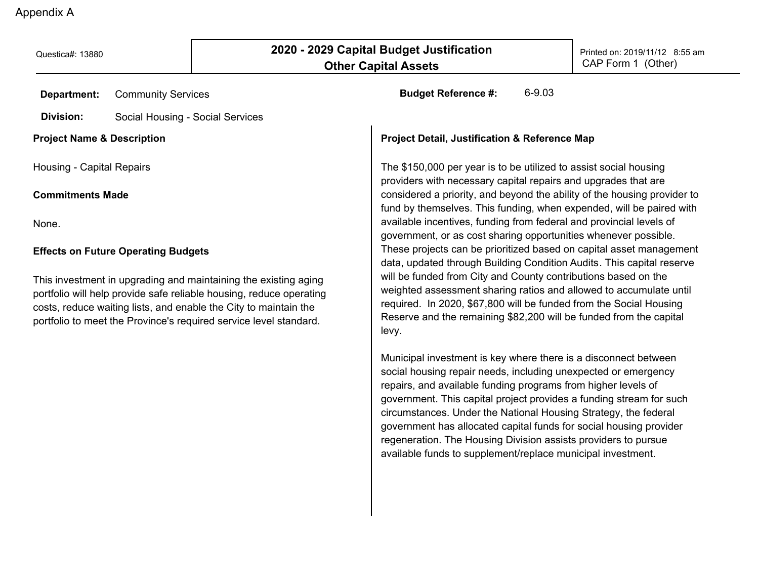Questica#: 13880 **2020 - 2020 - 2029 Capital Budget Justification** Printed on: 2019/11/12 8:55 am **Other Capital Assets Department: Division:** Community Services **Budget Reference #:** 6-9.03 CAP Form 1 (Other) Social Housing - Social Services **Project Detail, Justification & Reference Map** The \$150,000 per year is to be utilized to assist social housing providers with necessary capital repairs and upgrades that are considered a priority, and beyond the ability of the housing provider to fund by themselves. This funding, when expended, will be paired with available incentives, funding from federal and provincial levels of government, or as cost sharing opportunities whenever possible. These projects can be prioritized based on capital asset management data, updated through Building Condition Audits. This capital reserve will be funded from City and County contributions based on the weighted assessment sharing ratios and allowed to accumulate until **Project Name & Description** Housing - Capital Repairs **Commitments Made** None. **Effects on Future Operating Budgets** This investment in upgrading and maintaining the existing aging

levy.

portfolio will help provide safe reliable housing, reduce operating costs, reduce waiting lists, and enable the City to maintain the portfolio to meet the Province's required service level standard.

> social housing repair needs, including unexpected or emergency repairs, and available funding programs from higher levels of government. This capital project provides a funding stream for such circumstances. Under the National Housing Strategy, the federal government has allocated capital funds for social housing provider regeneration. The Housing Division assists providers to pursue

available funds to supplement/replace municipal investment.

Municipal investment is key where there is a disconnect between

required. In 2020, \$67,800 will be funded from the Social Housing Reserve and the remaining \$82,200 will be funded from the capital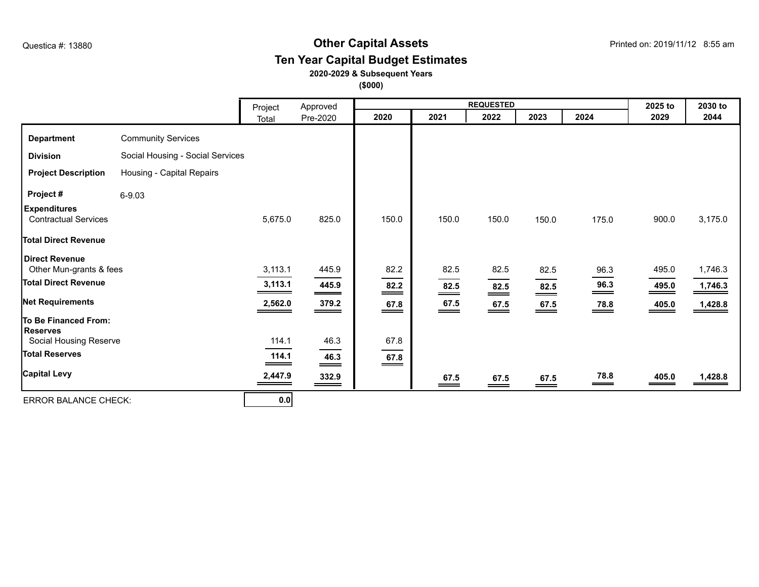#### **Other Capital Assets** Questica #: 13880 Printed on: 2019/11/12 8:55 am **Ten Year Capital Budget Estimates**

#### **2020-2029 & Subsequent Years**

**(\$000)**

|                                                    |                                  | Project | Approved                    |                     |                             | <b>REQUESTED</b>          |                                                                                                                                                                                                                                                                                                                                         |                           | 2025 to | 2030 to |
|----------------------------------------------------|----------------------------------|---------|-----------------------------|---------------------|-----------------------------|---------------------------|-----------------------------------------------------------------------------------------------------------------------------------------------------------------------------------------------------------------------------------------------------------------------------------------------------------------------------------------|---------------------------|---------|---------|
|                                                    |                                  | Total   | Pre-2020                    | 2020                | 2021                        | 2022                      | 2023                                                                                                                                                                                                                                                                                                                                    | 2024                      | 2029    | 2044    |
| <b>Department</b>                                  | <b>Community Services</b>        |         |                             |                     |                             |                           |                                                                                                                                                                                                                                                                                                                                         |                           |         |         |
| <b>Division</b>                                    | Social Housing - Social Services |         |                             |                     |                             |                           |                                                                                                                                                                                                                                                                                                                                         |                           |         |         |
| <b>Project Description</b>                         | Housing - Capital Repairs        |         |                             |                     |                             |                           |                                                                                                                                                                                                                                                                                                                                         |                           |         |         |
| Project #                                          | $6 - 9.03$                       |         |                             |                     |                             |                           |                                                                                                                                                                                                                                                                                                                                         |                           |         |         |
| <b>Expenditures</b><br><b>Contractual Services</b> |                                  | 5,675.0 | 825.0                       | 150.0               | 150.0                       | 150.0                     | 150.0                                                                                                                                                                                                                                                                                                                                   | 175.0                     | 900.0   | 3,175.0 |
| <b>Total Direct Revenue</b>                        |                                  |         |                             |                     |                             |                           |                                                                                                                                                                                                                                                                                                                                         |                           |         |         |
| Direct Revenue<br>Other Mun-grants & fees          |                                  | 3,113.1 | 445.9                       | 82.2                | 82.5                        | 82.5                      | 82.5                                                                                                                                                                                                                                                                                                                                    | 96.3                      | 495.0   | 1,746.3 |
| <b>Total Direct Revenue</b>                        |                                  | 3,113.1 | 445.9<br>___                | 82.2<br>==          | 82.5<br>$=$                 | $\frac{82.5}{ }$          | 82.5<br>$\equiv$                                                                                                                                                                                                                                                                                                                        | 96.3<br>$\hspace{0.05cm}$ | 495.0   | 1,746.3 |
| <b>Net Requirements</b>                            |                                  | 2,562.0 | 379.2<br>___                | $\underbrace{67.8}$ | $\underbrace{67.5}$         | $\underline{67.5}$        | $\underline{67.5}$                                                                                                                                                                                                                                                                                                                      | $\frac{78.8}{2}$          | 405.0   | 1,428.8 |
| To Be Financed From:<br><b>Reserves</b>            |                                  |         |                             |                     |                             |                           |                                                                                                                                                                                                                                                                                                                                         |                           |         |         |
| Social Housing Reserve                             |                                  | 114.1   | 46.3                        | 67.8                |                             |                           |                                                                                                                                                                                                                                                                                                                                         |                           |         |         |
| <b>Total Reserves</b>                              |                                  | 114.1   | 46.3<br>$=$                 | $\underbrace{67.8}$ |                             |                           |                                                                                                                                                                                                                                                                                                                                         |                           |         |         |
| <b>Capital Levy</b>                                |                                  | 2,447.9 | 332.9<br>$\hspace{1.5cm} =$ |                     | 67.5<br>$\hspace{0.05cm} =$ | 67.5<br>$\qquad \qquad =$ | 67.5<br>$\hspace{.1in}$ $\hspace{.1in}$ $\hspace{.1in}$ $\hspace{.1in}$ $\hspace{.1in}$ $\hspace{.1in}$ $\hspace{.1in}$ $\hspace{.1in}$ $\hspace{.1in}$ $\hspace{.1in}$ $\hspace{.1in}$ $\hspace{.1in}$ $\hspace{.1in}$ $\hspace{.1in}$ $\hspace{.1in}$ $\hspace{.1in}$ $\hspace{.1in}$ $\hspace{.1in}$ $\hspace{.1in}$ $\hspace{.1in}$ | 78.8                      | 405.0   | 1,428.8 |
| <b>ERROR BALANCE CHECK:</b>                        |                                  | 0.0     |                             |                     |                             |                           |                                                                                                                                                                                                                                                                                                                                         |                           |         |         |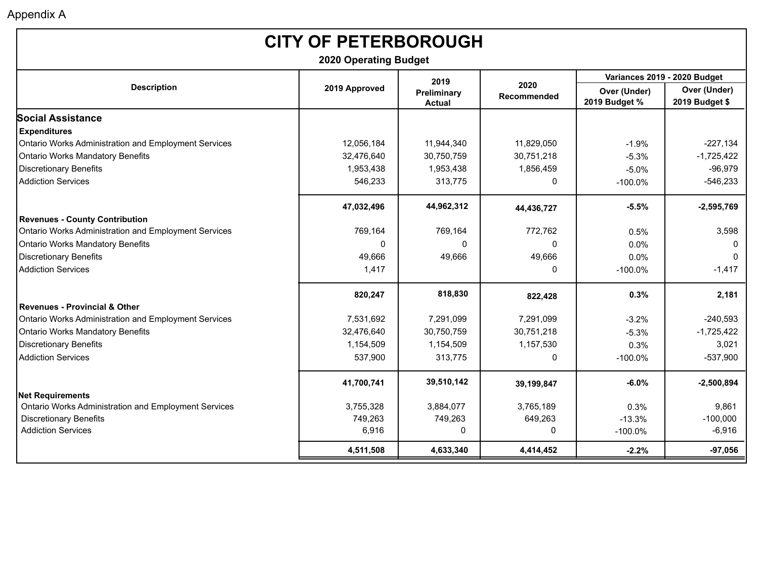| <b>CITY OF PETERBOROUGH</b><br><b>2020 Operating Budget</b> |               |                              |                            |                               |                                |  |  |
|-------------------------------------------------------------|---------------|------------------------------|----------------------------|-------------------------------|--------------------------------|--|--|
|                                                             |               | 2019                         |                            |                               | Variances 2019 - 2020 Budget   |  |  |
| <b>Description</b>                                          | 2019 Approved | Preliminary<br><b>Actual</b> | 2020<br><b>Recommended</b> | Over (Under)<br>2019 Budget % | Over (Under)<br>2019 Budget \$ |  |  |
| <b>Social Assistance</b>                                    |               |                              |                            |                               |                                |  |  |
| <b>Expenditures</b>                                         |               |                              |                            |                               |                                |  |  |
| Ontario Works Administration and Employment Services        | 12,056,184    | 11,944,340                   | 11,829,050                 | $-1.9%$                       | $-227,134$                     |  |  |
| <b>Ontario Works Mandatory Benefits</b>                     | 32,476,640    | 30,750,759                   | 30,751,218                 | $-5.3%$                       | $-1,725,422$                   |  |  |
| <b>Discretionary Benefits</b>                               | 1,953,438     | 1,953,438                    | 1,856,459                  | $-5.0%$                       | $-96,979$                      |  |  |
| <b>Addiction Services</b>                                   | 546,233       | 313,775                      | 0                          | $-100.0\%$                    | $-546,233$                     |  |  |
|                                                             | 47,032,496    | 44,962,312                   | 44,436,727                 | $-5.5%$                       | $-2,595,769$                   |  |  |
| <b>Revenues - County Contribution</b>                       |               |                              |                            |                               |                                |  |  |
| Ontario Works Administration and Employment Services        | 769,164       | 769,164                      | 772,762                    | 0.5%                          | 3,598                          |  |  |
| <b>Ontario Works Mandatory Benefits</b>                     | $\Omega$      | 0                            | 0                          | 0.0%                          | $\mathbf 0$                    |  |  |
| <b>Discretionary Benefits</b>                               | 49,666        | 49,666                       | 49,666                     | 0.0%                          | $\mathbf 0$                    |  |  |
| <b>Addiction Services</b>                                   | 1,417         |                              | 0                          | $-100.0\%$                    | $-1,417$                       |  |  |
|                                                             | 820,247       | 818,830                      | 822,428                    | 0.3%                          | 2,181                          |  |  |
| <b>Revenues - Provincial &amp; Other</b>                    |               |                              |                            |                               |                                |  |  |
| Ontario Works Administration and Employment Services        | 7,531,692     | 7,291,099                    | 7,291,099                  | $-3.2%$                       | $-240,593$                     |  |  |
| <b>Ontario Works Mandatory Benefits</b>                     | 32,476,640    | 30,750,759                   | 30,751,218                 | $-5.3%$                       | $-1,725,422$                   |  |  |
| <b>Discretionary Benefits</b>                               | 1,154,509     | 1,154,509                    | 1,157,530                  | 0.3%                          | 3,021                          |  |  |
| <b>Addiction Services</b>                                   | 537,900       | 313,775                      | 0                          | $-100.0\%$                    | $-537,900$                     |  |  |
|                                                             | 41,700,741    | 39,510,142                   | 39,199,847                 | $-6.0%$                       | $-2,500,894$                   |  |  |
| <b>Net Requirements</b>                                     |               |                              |                            |                               |                                |  |  |
| Ontario Works Administration and Employment Services        | 3,755,328     | 3,884,077                    | 3,765,189                  | 0.3%                          | 9,861                          |  |  |
| <b>Discretionary Benefits</b>                               | 749,263       | 749,263                      | 649,263                    | $-13.3%$                      | $-100,000$                     |  |  |
| <b>Addiction Services</b>                                   | 6,916         | 0                            | $\mathbf 0$                | $-100.0\%$                    | $-6,916$                       |  |  |
|                                                             | 4,511,508     | 4,633,340                    | 4,414,452                  | $-2.2%$                       | $-97,056$                      |  |  |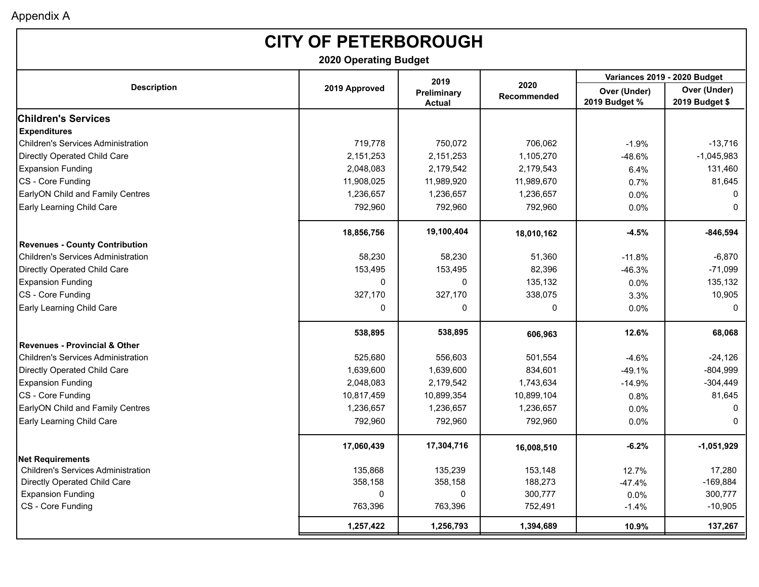| <b>CITY OF PETERBOROUGH</b><br><b>2020 Operating Budget</b> |               |                              |                     |                               |                                |  |  |
|-------------------------------------------------------------|---------------|------------------------------|---------------------|-------------------------------|--------------------------------|--|--|
|                                                             |               | 2019                         |                     |                               | Variances 2019 - 2020 Budget   |  |  |
| <b>Description</b>                                          | 2019 Approved | Preliminary<br><b>Actual</b> | 2020<br>Recommended | Over (Under)<br>2019 Budget % | Over (Under)<br>2019 Budget \$ |  |  |
| <b>Children's Services</b>                                  |               |                              |                     |                               |                                |  |  |
| <b>Expenditures</b>                                         |               |                              |                     |                               |                                |  |  |
| <b>Children's Services Administration</b>                   | 719,778       | 750,072                      | 706,062             | $-1.9%$                       | $-13,716$                      |  |  |
| Directly Operated Child Care                                | 2,151,253     | 2,151,253                    | 1,105,270           | $-48.6%$                      | $-1,045,983$                   |  |  |
| <b>Expansion Funding</b>                                    | 2,048,083     | 2,179,542                    | 2,179,543           | 6.4%                          | 131,460                        |  |  |
| CS - Core Funding                                           | 11,908,025    | 11,989,920                   | 11,989,670          | 0.7%                          | 81,645                         |  |  |
| <b>EarlyON Child and Family Centres</b>                     | 1,236,657     | 1,236,657                    | 1,236,657           | 0.0%                          | 0                              |  |  |
| <b>Early Learning Child Care</b>                            | 792,960       | 792,960                      | 792,960             | 0.0%                          | 0                              |  |  |
|                                                             | 18,856,756    | 19,100,404                   | 18,010,162          | -4.5%                         | $-846,594$                     |  |  |
| <b>Revenues - County Contribution</b>                       |               |                              |                     |                               |                                |  |  |
| <b>Children's Services Administration</b>                   | 58,230        | 58,230                       | 51,360              | $-11.8%$                      | $-6,870$                       |  |  |
| Directly Operated Child Care                                | 153,495       | 153,495                      | 82,396              | $-46.3%$                      | $-71,099$                      |  |  |
| <b>Expansion Funding</b>                                    | 0             | 0                            | 135,132             | 0.0%                          | 135,132                        |  |  |
| CS - Core Funding                                           | 327,170       | 327,170                      | 338,075             | 3.3%                          | 10,905                         |  |  |
| <b>Early Learning Child Care</b>                            | 0             | 0                            | 0                   | 0.0%                          | 0                              |  |  |
|                                                             | 538,895       | 538,895                      | 606,963             | 12.6%                         | 68,068                         |  |  |
| <b>Revenues - Provincial &amp; Other</b>                    |               |                              |                     |                               |                                |  |  |
| <b>Children's Services Administration</b>                   | 525,680       | 556,603                      | 501,554             | $-4.6%$                       | $-24,126$                      |  |  |
| Directly Operated Child Care                                | 1,639,600     | 1,639,600                    | 834,601             | $-49.1%$                      | $-804,999$                     |  |  |
| <b>Expansion Funding</b>                                    | 2,048,083     | 2,179,542                    | 1,743,634           | $-14.9%$                      | $-304,449$                     |  |  |
| CS - Core Funding                                           | 10,817,459    | 10,899,354                   | 10,899,104          | 0.8%                          | 81,645                         |  |  |
| <b>EarlyON Child and Family Centres</b>                     | 1,236,657     | 1,236,657                    | 1,236,657           | 0.0%                          | 0                              |  |  |
| <b>Early Learning Child Care</b>                            | 792,960       | 792,960                      | 792,960             | 0.0%                          | 0                              |  |  |
|                                                             | 17,060,439    | 17,304,716                   | 16,008,510          | $-6.2%$                       | $-1,051,929$                   |  |  |
| Net Requirements                                            |               |                              |                     |                               |                                |  |  |
| <b>Children's Services Administration</b>                   | 135,868       | 135,239                      | 153,148             | 12.7%                         | 17,280                         |  |  |
| Directly Operated Child Care                                | 358,158       | 358,158                      | 188,273             | $-47.4%$                      | $-169,884$                     |  |  |
| <b>Expansion Funding</b>                                    | $\mathbf{0}$  | 0                            | 300,777             | 0.0%                          | 300,777                        |  |  |
| CS - Core Funding                                           | 763,396       | 763,396                      | 752,491             | $-1.4%$                       | $-10,905$                      |  |  |
|                                                             | 1,257,422     | 1,256,793                    | 1,394,689           | 10.9%                         | 137,267                        |  |  |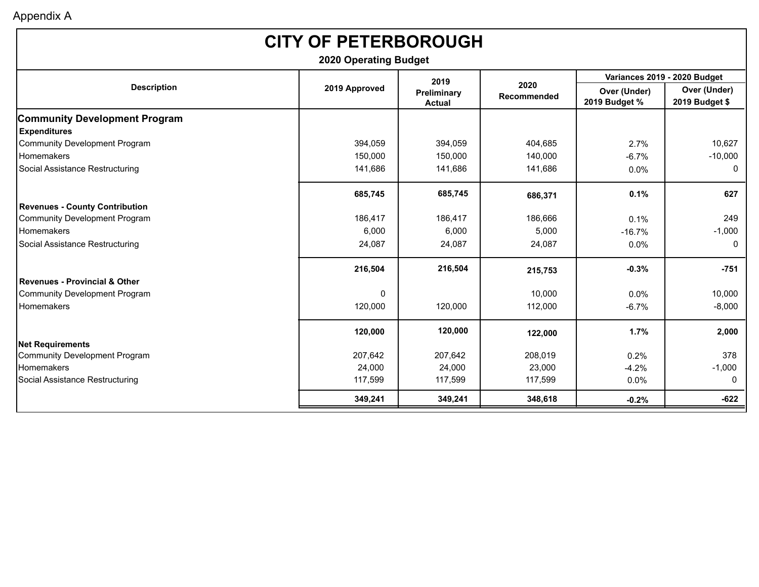| <b>CITY OF PETERBOROUGH</b>              |                              |                              |                            |                               |                                |  |
|------------------------------------------|------------------------------|------------------------------|----------------------------|-------------------------------|--------------------------------|--|
|                                          | <b>2020 Operating Budget</b> |                              |                            |                               |                                |  |
|                                          |                              | 2019                         |                            | Variances 2019 - 2020 Budget  |                                |  |
| <b>Description</b>                       | 2019 Approved                | Preliminary<br><b>Actual</b> | 2020<br><b>Recommended</b> | Over (Under)<br>2019 Budget % | Over (Under)<br>2019 Budget \$ |  |
| <b>Community Development Program</b>     |                              |                              |                            |                               |                                |  |
| <b>Expenditures</b>                      |                              |                              |                            |                               |                                |  |
| <b>Community Development Program</b>     | 394,059                      | 394,059                      | 404,685                    | 2.7%                          | 10,627                         |  |
| Homemakers                               | 150,000                      | 150,000                      | 140,000                    | $-6.7%$                       | $-10,000$                      |  |
| Social Assistance Restructuring          | 141,686                      | 141,686                      | 141,686                    | $0.0\%$                       | 0                              |  |
|                                          | 685,745                      | 685,745                      | 686,371                    | 0.1%                          | 627                            |  |
| <b>Revenues - County Contribution</b>    |                              |                              |                            |                               |                                |  |
| <b>Community Development Program</b>     | 186,417                      | 186,417                      | 186,666                    | 0.1%                          | 249                            |  |
| <b>Homemakers</b>                        | 6,000                        | 6,000                        | 5,000                      | $-16.7%$                      | $-1,000$                       |  |
| Social Assistance Restructuring          | 24,087                       | 24,087                       | 24,087                     | 0.0%                          | 0                              |  |
|                                          | 216,504                      | 216,504                      | 215,753                    | $-0.3%$                       | $-751$                         |  |
| <b>Revenues - Provincial &amp; Other</b> |                              |                              |                            |                               |                                |  |
| <b>Community Development Program</b>     | $\Omega$                     |                              | 10,000                     | $0.0\%$                       | 10,000                         |  |
| Homemakers                               | 120,000                      | 120,000                      | 112,000                    | $-6.7%$                       | $-8,000$                       |  |
|                                          | 120,000                      | 120,000                      | 122,000                    | 1.7%                          | 2,000                          |  |
| <b>Net Requirements</b>                  |                              |                              |                            |                               |                                |  |
| <b>Community Development Program</b>     | 207,642                      | 207,642                      | 208,019                    | 0.2%                          | 378                            |  |
| Homemakers                               | 24,000                       | 24,000                       | 23.000                     | $-4.2%$                       | $-1,000$                       |  |
| Social Assistance Restructuring          | 117,599                      | 117,599                      | 117,599                    | 0.0%                          | $\mathbf{0}$                   |  |
|                                          | 349,241                      | 349,241                      | 348,618                    | $-0.2%$                       | $-622$                         |  |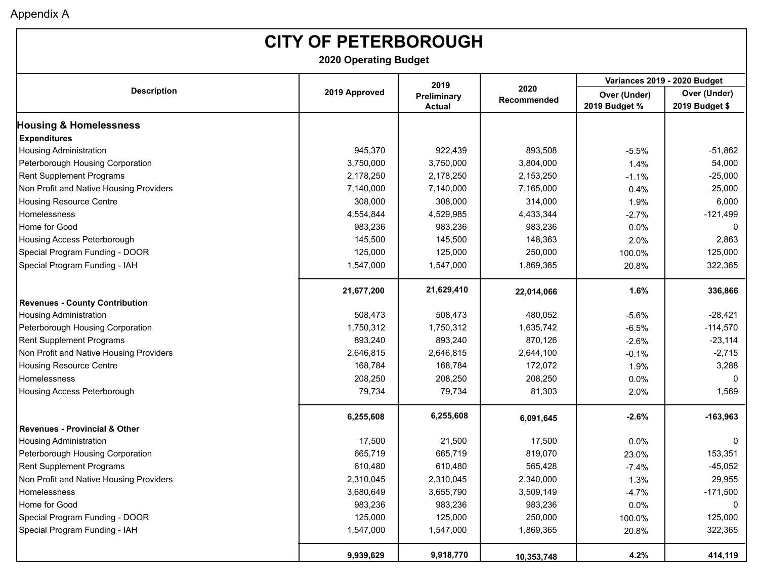# **CITY OF PETERBOROUGH**

**2020 Operating Budget**

|                                          |               | 2019                         |                     | Variances 2019 - 2020 Budget  |                                |  |
|------------------------------------------|---------------|------------------------------|---------------------|-------------------------------|--------------------------------|--|
| <b>Description</b>                       | 2019 Approved | Preliminary<br><b>Actual</b> | 2020<br>Recommended | Over (Under)<br>2019 Budget % | Over (Under)<br>2019 Budget \$ |  |
| <b>Housing &amp; Homelessness</b>        |               |                              |                     |                               |                                |  |
| <b>Expenditures</b>                      |               |                              |                     |                               |                                |  |
| <b>Housing Administration</b>            | 945,370       | 922,439                      | 893,508             | $-5.5%$                       | $-51,862$                      |  |
| Peterborough Housing Corporation         | 3,750,000     | 3,750,000                    | 3,804,000           | 1.4%                          | 54,000                         |  |
| Rent Supplement Programs                 | 2,178,250     | 2,178,250                    | 2,153,250           | $-1.1%$                       | $-25,000$                      |  |
| Non Profit and Native Housing Providers  | 7,140,000     | 7,140,000                    | 7,165,000           | 0.4%                          | 25,000                         |  |
| <b>Housing Resource Centre</b>           | 308,000       | 308,000                      | 314,000             | 1.9%                          | 6,000                          |  |
| Homelessness                             | 4,554,844     | 4,529,985                    | 4,433,344           | $-2.7%$                       | $-121,499$                     |  |
| Home for Good                            | 983,236       | 983,236                      | 983,236             | 0.0%                          | $\mathbf{0}$                   |  |
| Housing Access Peterborough              | 145,500       | 145,500                      | 148,363             | 2.0%                          | 2,863                          |  |
| Special Program Funding - DOOR           | 125,000       | 125,000                      | 250,000             | 100.0%                        | 125,000                        |  |
| Special Program Funding - IAH            | 1,547,000     | 1,547,000                    | 1,869,365           | 20.8%                         | 322,365                        |  |
|                                          | 21,677,200    | 21,629,410                   | 22,014,066          | 1.6%                          | 336,866                        |  |
| <b>Revenues - County Contribution</b>    |               |                              |                     |                               |                                |  |
| <b>Housing Administration</b>            | 508,473       | 508,473                      | 480,052             | $-5.6%$                       | $-28,421$                      |  |
| Peterborough Housing Corporation         | 1,750,312     | 1,750,312                    | 1,635,742           | $-6.5%$                       | $-114,570$                     |  |
| Rent Supplement Programs                 | 893,240       | 893,240                      | 870,126             | $-2.6%$                       | $-23,114$                      |  |
| Non Profit and Native Housing Providers  | 2,646,815     | 2,646,815                    | 2,644,100           | $-0.1%$                       | $-2,715$                       |  |
| <b>Housing Resource Centre</b>           | 168,784       | 168,784                      | 172,072             | 1.9%                          | 3,288                          |  |
| Homelessness                             | 208,250       | 208,250                      | 208,250             | 0.0%                          | $\Omega$                       |  |
| Housing Access Peterborough              | 79,734        | 79,734                       | 81,303              | 2.0%                          | 1,569                          |  |
|                                          | 6,255,608     | 6,255,608                    | 6,091,645           | $-2.6%$                       | $-163,963$                     |  |
| <b>Revenues - Provincial &amp; Other</b> |               |                              |                     |                               |                                |  |
| <b>Housing Administration</b>            | 17,500        | 21,500                       | 17,500              | 0.0%                          | $\mathbf{0}$                   |  |
| Peterborough Housing Corporation         | 665,719       | 665,719                      | 819,070             | 23.0%                         | 153,351                        |  |
| Rent Supplement Programs                 | 610,480       | 610,480                      | 565,428             | $-7.4%$                       | $-45,052$                      |  |
| Non Profit and Native Housing Providers  | 2,310,045     | 2,310,045                    | 2,340,000           | 1.3%                          | 29,955                         |  |
| Homelessness                             | 3,680,649     | 3,655,790                    | 3,509,149           | $-4.7%$                       | $-171,500$                     |  |
| Home for Good                            | 983,236       | 983,236                      | 983,236             | 0.0%                          | $\mathbf{0}$                   |  |
| Special Program Funding - DOOR           | 125,000       | 125,000                      | 250,000             | 100.0%                        | 125,000                        |  |
| Special Program Funding - IAH            | 1,547,000     | 1,547,000                    | 1,869,365           | 20.8%                         | 322,365                        |  |
|                                          | 9,939,629     | 9,918,770                    | 10,353,748          | 4.2%                          | 414,119                        |  |